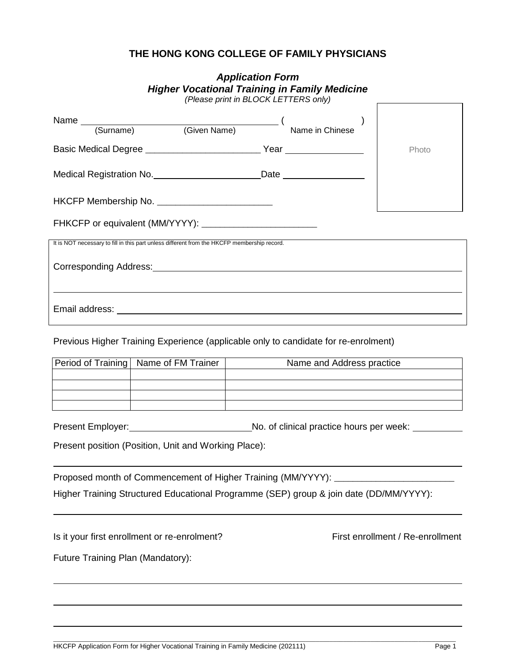# **THE HONG KONG COLLEGE OF FAMILY PHYSICIANS**

| <b>Application Form</b>           |                                                                                             |                                                                                        |                                  |  |  |  |  |
|-----------------------------------|---------------------------------------------------------------------------------------------|----------------------------------------------------------------------------------------|----------------------------------|--|--|--|--|
|                                   |                                                                                             | <b>Higher Vocational Training in Family Medicine</b>                                   |                                  |  |  |  |  |
|                                   |                                                                                             | (Please print in BLOCK LETTERS only)                                                   |                                  |  |  |  |  |
|                                   |                                                                                             |                                                                                        |                                  |  |  |  |  |
|                                   |                                                                                             | Name (Surname) (Given Name) (Name in Chinese                                           |                                  |  |  |  |  |
|                                   |                                                                                             |                                                                                        | Photo                            |  |  |  |  |
|                                   |                                                                                             | Medical Registration No. _______________________________Date ___________________       |                                  |  |  |  |  |
|                                   | HKCFP Membership No. ____________________________                                           |                                                                                        |                                  |  |  |  |  |
|                                   |                                                                                             |                                                                                        |                                  |  |  |  |  |
|                                   | It is NOT necessary to fill in this part unless different from the HKCFP membership record. |                                                                                        |                                  |  |  |  |  |
|                                   |                                                                                             |                                                                                        |                                  |  |  |  |  |
|                                   |                                                                                             |                                                                                        |                                  |  |  |  |  |
|                                   |                                                                                             | Previous Higher Training Experience (applicable only to candidate for re-enrolment)    |                                  |  |  |  |  |
|                                   |                                                                                             | Period of Training   Name of FM Trainer   Name and Address practice                    |                                  |  |  |  |  |
|                                   |                                                                                             |                                                                                        |                                  |  |  |  |  |
|                                   |                                                                                             |                                                                                        |                                  |  |  |  |  |
|                                   |                                                                                             |                                                                                        |                                  |  |  |  |  |
|                                   | Present position (Position, Unit and Working Place):                                        |                                                                                        |                                  |  |  |  |  |
|                                   |                                                                                             | Proposed month of Commencement of Higher Training (MM/YYYY): ____________________      |                                  |  |  |  |  |
|                                   |                                                                                             | Higher Training Structured Educational Programme (SEP) group & join date (DD/MM/YYYY): |                                  |  |  |  |  |
|                                   | Is it your first enrollment or re-enrolment?                                                |                                                                                        | First enrollment / Re-enrollment |  |  |  |  |
|                                   |                                                                                             |                                                                                        |                                  |  |  |  |  |
| Future Training Plan (Mandatory): |                                                                                             |                                                                                        |                                  |  |  |  |  |
|                                   |                                                                                             |                                                                                        |                                  |  |  |  |  |
|                                   |                                                                                             |                                                                                        |                                  |  |  |  |  |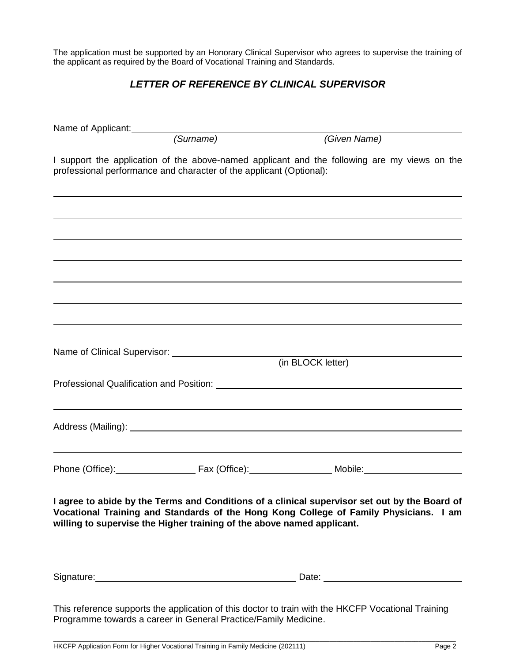The application must be supported by an Honorary Clinical Supervisor who agrees to supervise the training of the applicant as required by the Board of Vocational Training and Standards.

## *LETTER OF REFERENCE BY CLINICAL SUPERVISOR*

| Name of Applicant: (Surname)                                                                                                                                                                                                         | (Given Name)                                                                                       |  |
|--------------------------------------------------------------------------------------------------------------------------------------------------------------------------------------------------------------------------------------|----------------------------------------------------------------------------------------------------|--|
| I support the application of the above-named applicant and the following are my views on the                                                                                                                                         |                                                                                                    |  |
| professional performance and character of the applicant (Optional):                                                                                                                                                                  |                                                                                                    |  |
|                                                                                                                                                                                                                                      |                                                                                                    |  |
|                                                                                                                                                                                                                                      |                                                                                                    |  |
|                                                                                                                                                                                                                                      |                                                                                                    |  |
|                                                                                                                                                                                                                                      |                                                                                                    |  |
|                                                                                                                                                                                                                                      |                                                                                                    |  |
|                                                                                                                                                                                                                                      |                                                                                                    |  |
|                                                                                                                                                                                                                                      |                                                                                                    |  |
|                                                                                                                                                                                                                                      |                                                                                                    |  |
|                                                                                                                                                                                                                                      |                                                                                                    |  |
|                                                                                                                                                                                                                                      | (in BLOCK letter)                                                                                  |  |
|                                                                                                                                                                                                                                      |                                                                                                    |  |
|                                                                                                                                                                                                                                      |                                                                                                    |  |
|                                                                                                                                                                                                                                      |                                                                                                    |  |
|                                                                                                                                                                                                                                      |                                                                                                    |  |
|                                                                                                                                                                                                                                      |                                                                                                    |  |
|                                                                                                                                                                                                                                      |                                                                                                    |  |
|                                                                                                                                                                                                                                      |                                                                                                    |  |
| I agree to abide by the Terms and Conditions of a clinical supervisor set out by the Board of<br>Vocational Training and Standards of the Hong Kong College of Family Physicians. I am                                               |                                                                                                    |  |
| willing to supervise the Higher training of the above named applicant.                                                                                                                                                               |                                                                                                    |  |
|                                                                                                                                                                                                                                      |                                                                                                    |  |
|                                                                                                                                                                                                                                      |                                                                                                    |  |
| Signature: <u>contract and contract and contract and contract and contract and contract and contract and contract and contract and contract and contract and contract and contract and contract and contract and contract and co</u> |                                                                                                    |  |
|                                                                                                                                                                                                                                      | This reference supports the application of this doctor to train with the HKCFP Vocational Training |  |

Programme towards a career in General Practice/Family Medicine.